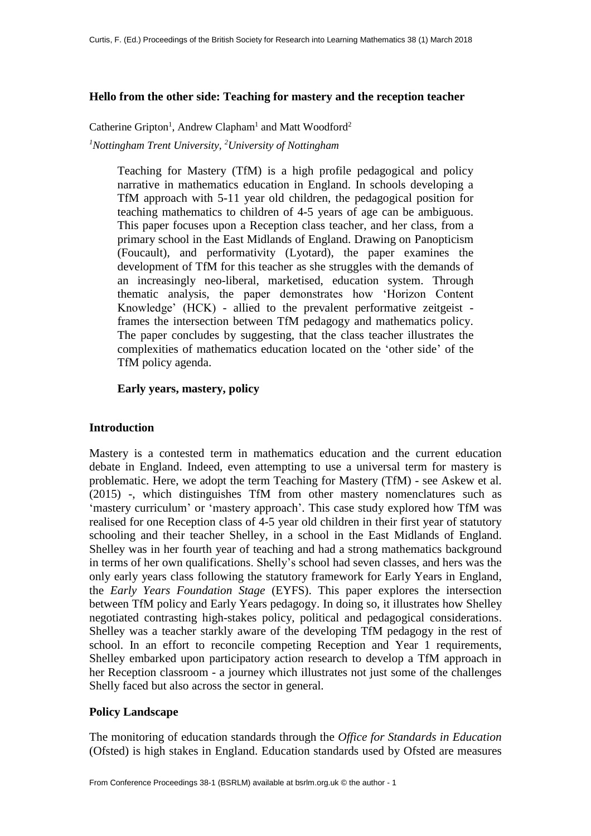## **Hello from the other side: Teaching for mastery and the reception teacher**

Catherine Gripton<sup>1</sup>, Andrew Clapham<sup>1</sup> and Matt Woodford<sup>2</sup> *<sup>1</sup>Nottingham Trent University, <sup>2</sup>University of Nottingham*

> Teaching for Mastery (TfM) is a high profile pedagogical and policy narrative in mathematics education in England. In schools developing a TfM approach with 5-11 year old children, the pedagogical position for teaching mathematics to children of 4-5 years of age can be ambiguous. This paper focuses upon a Reception class teacher, and her class, from a primary school in the East Midlands of England. Drawing on Panopticism (Foucault), and performativity (Lyotard), the paper examines the development of TfM for this teacher as she struggles with the demands of an increasingly neo-liberal, marketised, education system. Through thematic analysis, the paper demonstrates how 'Horizon Content Knowledge' (HCK) - allied to the prevalent performative zeitgeist frames the intersection between TfM pedagogy and mathematics policy. The paper concludes by suggesting, that the class teacher illustrates the complexities of mathematics education located on the 'other side' of the TfM policy agenda.

## **Early years, mastery, policy**

# **Introduction**

Mastery is a contested term in mathematics education and the current education debate in England. Indeed, even attempting to use a universal term for mastery is problematic. Here, we adopt the term Teaching for Mastery (TfM) - see Askew et al. (2015) -, which distinguishes TfM from other mastery nomenclatures such as 'mastery curriculum' or 'mastery approach'. This case study explored how TfM was realised for one Reception class of 4-5 year old children in their first year of statutory schooling and their teacher Shelley, in a school in the East Midlands of England. Shelley was in her fourth year of teaching and had a strong mathematics background in terms of her own qualifications. Shelly's school had seven classes, and hers was the only early years class following the statutory framework for Early Years in England, the *Early Years Foundation Stage* (EYFS). This paper explores the intersection between TfM policy and Early Years pedagogy. In doing so, it illustrates how Shelley negotiated contrasting high-stakes policy, political and pedagogical considerations. Shelley was a teacher starkly aware of the developing TfM pedagogy in the rest of school. In an effort to reconcile competing Reception and Year 1 requirements, Shelley embarked upon participatory action research to develop a TfM approach in her Reception classroom - a journey which illustrates not just some of the challenges Shelly faced but also across the sector in general.

# **Policy Landscape**

The monitoring of education standards through the *Office for Standards in Education* (Ofsted) is high stakes in England. Education standards used by Ofsted are measures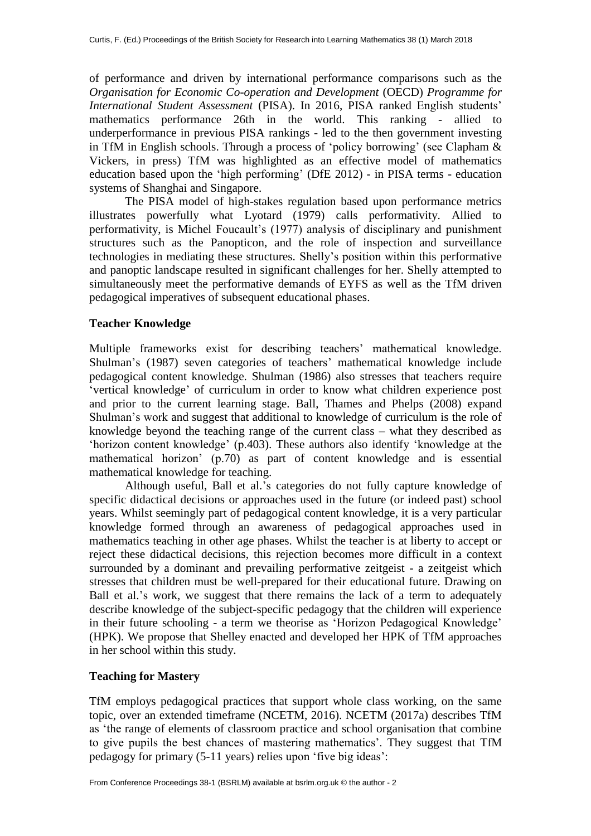of performance and driven by international performance comparisons such as the *Organisation for Economic Co-operation and Development* (OECD) *Programme for International Student Assessment* (PISA). In 2016, PISA ranked English students' mathematics performance 26th in the world. This ranking - allied to underperformance in previous PISA rankings - led to the then government investing in TfM in English schools. Through a process of 'policy borrowing' (see Clapham & Vickers, in press) TfM was highlighted as an effective model of mathematics education based upon the 'high performing' (DfE 2012) - in PISA terms - education systems of Shanghai and Singapore.

The PISA model of high-stakes regulation based upon performance metrics illustrates powerfully what Lyotard (1979) calls performativity. Allied to performativity, is Michel Foucault's (1977) analysis of disciplinary and punishment structures such as the Panopticon, and the role of inspection and surveillance technologies in mediating these structures. Shelly's position within this performative and panoptic landscape resulted in significant challenges for her. Shelly attempted to simultaneously meet the performative demands of EYFS as well as the TfM driven pedagogical imperatives of subsequent educational phases.

## **Teacher Knowledge**

Multiple frameworks exist for describing teachers' mathematical knowledge. Shulman's (1987) seven categories of teachers' mathematical knowledge include pedagogical content knowledge. Shulman (1986) also stresses that teachers require 'vertical knowledge' of curriculum in order to know what children experience post and prior to the current learning stage. Ball, Thames and Phelps (2008) expand Shulman's work and suggest that additional to knowledge of curriculum is the role of knowledge beyond the teaching range of the current class – what they described as 'horizon content knowledge' (p.403). These authors also identify 'knowledge at the mathematical horizon' (p.70) as part of content knowledge and is essential mathematical knowledge for teaching.

Although useful, Ball et al.'s categories do not fully capture knowledge of specific didactical decisions or approaches used in the future (or indeed past) school years. Whilst seemingly part of pedagogical content knowledge, it is a very particular knowledge formed through an awareness of pedagogical approaches used in mathematics teaching in other age phases. Whilst the teacher is at liberty to accept or reject these didactical decisions, this rejection becomes more difficult in a context surrounded by a dominant and prevailing performative zeitgeist - a zeitgeist which stresses that children must be well-prepared for their educational future. Drawing on Ball et al.'s work, we suggest that there remains the lack of a term to adequately describe knowledge of the subject-specific pedagogy that the children will experience in their future schooling - a term we theorise as 'Horizon Pedagogical Knowledge' (HPK). We propose that Shelley enacted and developed her HPK of TfM approaches in her school within this study.

# **Teaching for Mastery**

TfM employs pedagogical practices that support whole class working, on the same topic, over an extended timeframe (NCETM, 2016). NCETM (2017a) describes TfM as 'the range of elements of classroom practice and school organisation that combine to give pupils the best chances of mastering mathematics'. They suggest that TfM pedagogy for primary (5-11 years) relies upon 'five big ideas':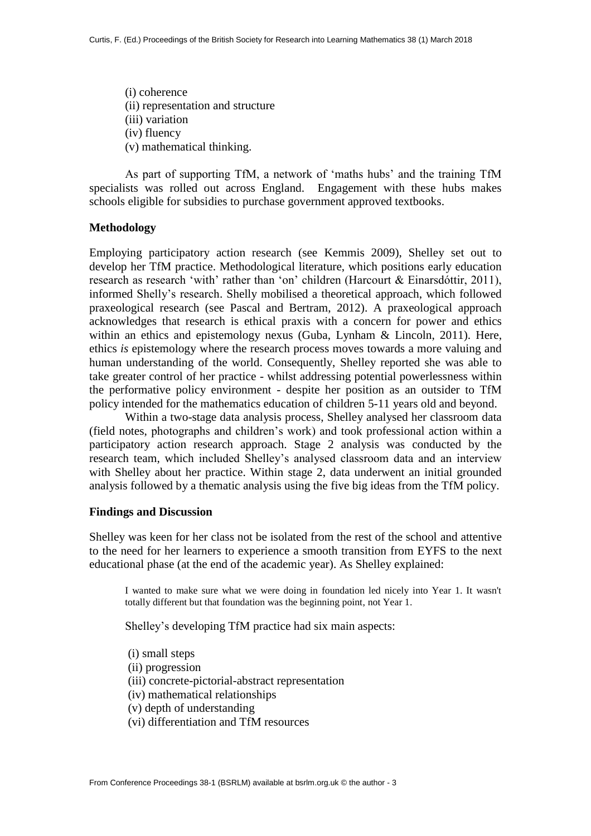(i) coherence (ii) representation and structure (iii) variation (iv) fluency (v) mathematical thinking.

As part of supporting TfM, a network of 'maths hubs' and the training TfM specialists was rolled out across England. Engagement with these hubs makes schools eligible for subsidies to purchase government approved textbooks.

#### **Methodology**

Employing participatory action research (see Kemmis 2009), Shelley set out to develop her TfM practice. Methodological literature, which positions early education research as research 'with' rather than 'on' children (Harcourt & Einarsdóttir, 2011), informed Shelly's research. Shelly mobilised a theoretical approach, which followed praxeological research (see Pascal and Bertram, 2012). A praxeological approach acknowledges that research is ethical praxis with a concern for power and ethics within an ethics and epistemology nexus (Guba, Lynham & Lincoln, 2011). Here, ethics *is* epistemology where the research process moves towards a more valuing and human understanding of the world. Consequently, Shelley reported she was able to take greater control of her practice - whilst addressing potential powerlessness within the performative policy environment - despite her position as an outsider to TfM policy intended for the mathematics education of children 5-11 years old and beyond.

Within a two-stage data analysis process, Shelley analysed her classroom data (field notes, photographs and children's work) and took professional action within a participatory action research approach. Stage 2 analysis was conducted by the research team, which included Shelley's analysed classroom data and an interview with Shelley about her practice. Within stage 2, data underwent an initial grounded analysis followed by a thematic analysis using the five big ideas from the TfM policy.

#### **Findings and Discussion**

Shelley was keen for her class not be isolated from the rest of the school and attentive to the need for her learners to experience a smooth transition from EYFS to the next educational phase (at the end of the academic year). As Shelley explained:

I wanted to make sure what we were doing in foundation led nicely into Year 1. It wasn't totally different but that foundation was the beginning point, not Year 1.

Shelley's developing TfM practice had six main aspects:

- (i) small steps
- (ii) progression
- (iii) concrete-pictorial-abstract representation
- (iv) mathematical relationships
- (v) depth of understanding
- (vi) differentiation and TfM resources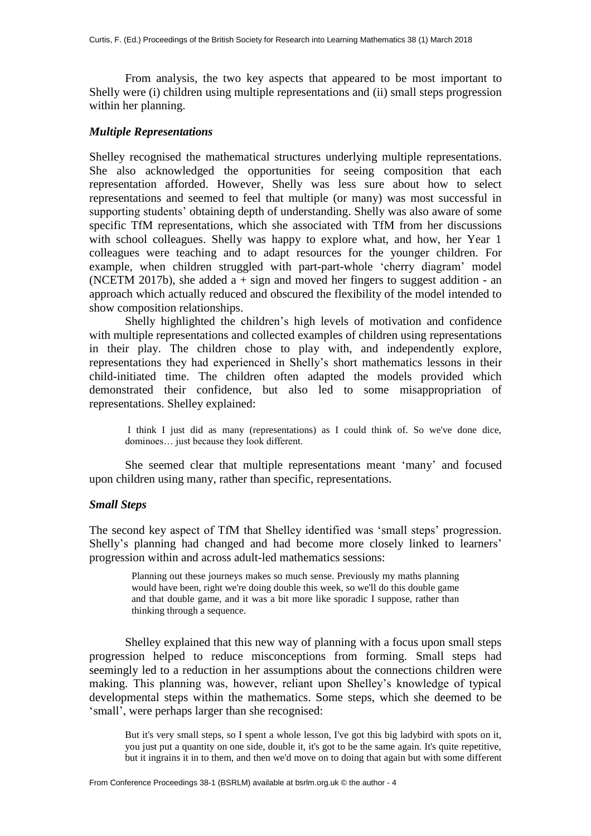From analysis, the two key aspects that appeared to be most important to Shelly were (i) children using multiple representations and (ii) small steps progression within her planning.

### *Multiple Representations*

Shelley recognised the mathematical structures underlying multiple representations. She also acknowledged the opportunities for seeing composition that each representation afforded. However, Shelly was less sure about how to select representations and seemed to feel that multiple (or many) was most successful in supporting students' obtaining depth of understanding. Shelly was also aware of some specific TfM representations, which she associated with TfM from her discussions with school colleagues. Shelly was happy to explore what, and how, her Year 1 colleagues were teaching and to adapt resources for the younger children. For example, when children struggled with part-part-whole 'cherry diagram' model (NCETM 2017b), she added  $a + sign$  and moved her fingers to suggest addition - an approach which actually reduced and obscured the flexibility of the model intended to show composition relationships.

Shelly highlighted the children's high levels of motivation and confidence with multiple representations and collected examples of children using representations in their play. The children chose to play with, and independently explore, representations they had experienced in Shelly's short mathematics lessons in their child-initiated time. The children often adapted the models provided which demonstrated their confidence, but also led to some misappropriation of representations. Shelley explained:

I think I just did as many (representations) as I could think of. So we've done dice, dominoes… just because they look different.

She seemed clear that multiple representations meant 'many' and focused upon children using many, rather than specific, representations.

#### *Small Steps*

The second key aspect of TfM that Shelley identified was 'small steps' progression. Shelly's planning had changed and had become more closely linked to learners' progression within and across adult-led mathematics sessions:

> Planning out these journeys makes so much sense. Previously my maths planning would have been, right we're doing double this week, so we'll do this double game and that double game, and it was a bit more like sporadic I suppose, rather than thinking through a sequence.

Shelley explained that this new way of planning with a focus upon small steps progression helped to reduce misconceptions from forming. Small steps had seemingly led to a reduction in her assumptions about the connections children were making. This planning was, however, reliant upon Shelley's knowledge of typical developmental steps within the mathematics. Some steps, which she deemed to be 'small', were perhaps larger than she recognised:

But it's very small steps, so I spent a whole lesson, I've got this big ladybird with spots on it, you just put a quantity on one side, double it, it's got to be the same again. It's quite repetitive, but it ingrains it in to them, and then we'd move on to doing that again but with some different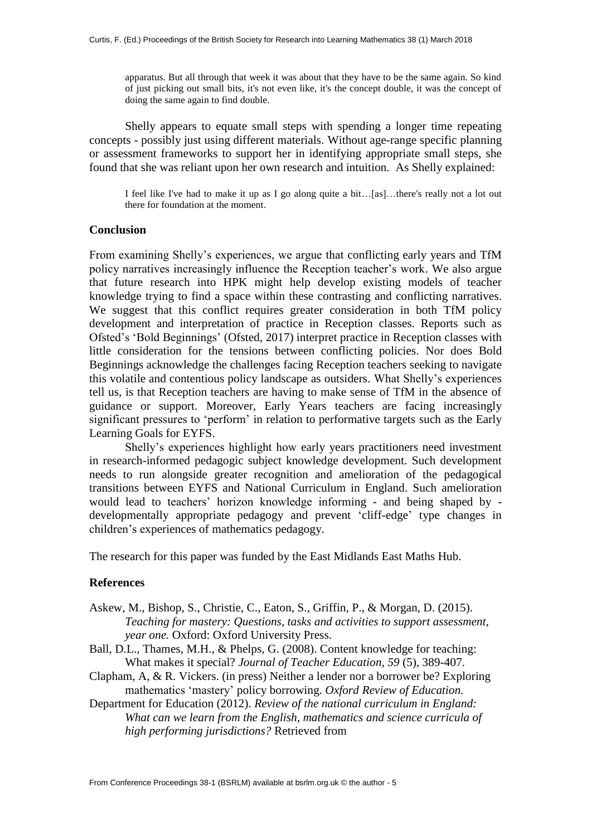apparatus. But all through that week it was about that they have to be the same again. So kind of just picking out small bits, it's not even like, it's the concept double, it was the concept of doing the same again to find double.

Shelly appears to equate small steps with spending a longer time repeating concepts - possibly just using different materials. Without age-range specific planning or assessment frameworks to support her in identifying appropriate small steps, she found that she was reliant upon her own research and intuition. As Shelly explained:

I feel like I've had to make it up as I go along quite a bit…[as]…there's really not a lot out there for foundation at the moment.

# **Conclusion**

From examining Shelly's experiences, we argue that conflicting early years and TfM policy narratives increasingly influence the Reception teacher's work. We also argue that future research into HPK might help develop existing models of teacher knowledge trying to find a space within these contrasting and conflicting narratives. We suggest that this conflict requires greater consideration in both TfM policy development and interpretation of practice in Reception classes. Reports such as Ofsted's 'Bold Beginnings' (Ofsted, 2017) interpret practice in Reception classes with little consideration for the tensions between conflicting policies. Nor does Bold Beginnings acknowledge the challenges facing Reception teachers seeking to navigate this volatile and contentious policy landscape as outsiders. What Shelly's experiences tell us, is that Reception teachers are having to make sense of TfM in the absence of guidance or support. Moreover, Early Years teachers are facing increasingly significant pressures to 'perform' in relation to performative targets such as the Early Learning Goals for EYFS.

Shelly's experiences highlight how early years practitioners need investment in research-informed pedagogic subject knowledge development. Such development needs to run alongside greater recognition and amelioration of the pedagogical transitions between EYFS and National Curriculum in England. Such amelioration would lead to teachers' horizon knowledge informing - and being shaped by developmentally appropriate pedagogy and prevent 'cliff-edge' type changes in children's experiences of mathematics pedagogy.

The research for this paper was funded by the East Midlands East Maths Hub.

### **References**

- Askew, M., Bishop, S., Christie, C., Eaton, S., Griffin, P., & Morgan, D. (2015). *Teaching for mastery: Questions, tasks and activities to support assessment, year one.* Oxford: Oxford University Press.
- Ball, D.L., Thames, M.H., & Phelps, G. (2008). Content knowledge for teaching: What makes it special? *Journal of Teacher Education, 59* (5), 389-407.
- Clapham, A, & R. Vickers. (in press) Neither a lender nor a borrower be? Exploring mathematics 'mastery' policy borrowing. *Oxford Review of Education.*
- Department for Education (2012). *Review of the national curriculum in England: What can we learn from the English, mathematics and science curricula of high performing jurisdictions?* Retrieved from